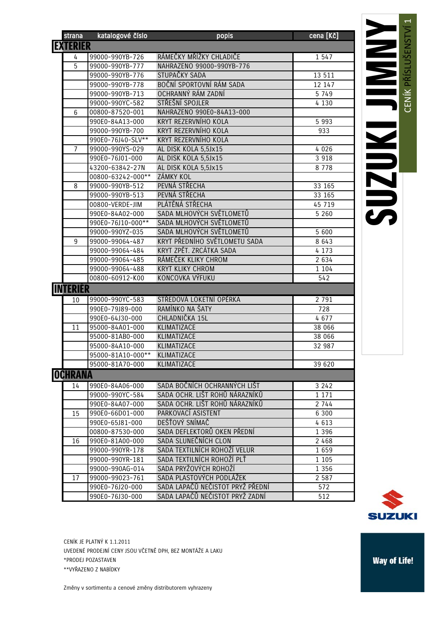| <b>EXTERIÉR</b><br>RÁMEČKY MŘÍŽKY CHLADIČE<br>99000-990YB-726<br>1 5 4 7<br>4<br>5<br>99000-990YB-777<br>NAHRAZENO 99000-990YB-776<br>STUPAČKY SADA<br>99000-990YB-776<br>13 511<br>BOČNÍ SPORTOVNÍ RÁM SADA<br>99000-990YB-778<br>12 147<br>OCHRANNÝ RÁM ZADNÍ<br>99000-990YB-713<br>5 7 4 9<br>STŘEŠNÍ SPOJLER<br>99000-990YC-582<br>4 1 3 0<br>NAHRAZENO 990E0-84A13-000<br>$6\phantom{1}$<br>00800-87520-001<br>990E0-84A13-000<br>KRYT REZERVNÍHO KOLA<br>5 9 9 3<br>KRYT REZERVNÍHO KOLA<br>99000-990YB-700<br>933<br>990E0-76J40-SLV**<br>KRYT REZERVNÍHO KOLA<br>99000-990YS-029<br>4 0 2 6<br>AL DISK KOLA 5,5Jx15<br>7<br>990E0-76J01-000<br>AL DISK KOLA 5,5Jx15<br>3 9 1 8<br>43200-63842-27N<br>AL DISK KOLA 5,5Jx15<br>8 7 7 8<br>ZÁMKY KOL<br>00800-63242-000**<br>PEVNÁ STŘECHA<br>99000-990YB-512<br>33 165<br>8<br>PEVNÁ STŘECHA<br>99000-990YB-513<br>33 165<br>PLÁTĚNÁ STŘECHA<br>00800-VERDE-JIM<br>45 719<br>SADA MLHOVÝCH SVĚTLOMETŮ<br>990E0-84A02-000<br>5 2 6 0<br>SADA MLHOVÝCH SVĚTLOMETŮ<br>990E0-76J10-000**<br>SADA MLHOVÝCH SVĚTLOMETŮ<br>99000-990YZ-035<br>5 600<br>KRYT PŘEDNÍHO SVĚTLOMETU SADA<br>9<br>8 6 4 3<br>99000-99064-487<br>KRYT ZPĚT. ZRCÁTKA SADA<br>4 1 7 3<br>99000-99064-484<br>99000-99064-485<br>RÁMEČEK KLIKY CHROM<br>2 6 3 4<br>99000-99064-488<br><b>KRYT KLIKY CHROM</b><br>1 1 0 4<br>KONCOVKA VÝFUKU<br>00800-60912-K00<br>542<br><b>INTERIÉR</b><br>STŘEDOVÁ LOKETNÍ OPĚRKA<br>99000-990YC-583<br>2 7 9 1<br>10<br>RAMÍNKO NA ŠATY<br>728<br>990E0-79J89-000<br>CHLADNIČKA 15L<br>990E0-64J30-000<br>4677<br>KLIMATIZACE<br>11<br>95000-84A01-000<br>38 066<br>95000-81AB0-000<br>KLIMATIZACE<br>38 066<br>95000-84A10-000<br>KLIMATIZACE<br>32 987<br>95000-81A10-000**<br>KLIMATIZACE<br>KLIMATIZACE<br>95000-81A70-000<br>39 620<br><b>OCHRANA</b><br>SADA BOČNÍCH OCHRANNÝCH LIŠT<br>3242<br>990E0-84A06-000<br>14<br>SADA OCHR. LIŠT ROHŮ NÁRAZNÍKŮ<br>99000-990YC-584<br>1 1 7 1<br>SADA OCHR. LIŠT ROHŮ NÁRAZNÍKŮ<br>2 744<br>990E0-84A07-000<br>PARKOVACÍ ASISTENT<br>15<br>990E0-66D01-000<br>6 3 0 0<br>DEŠŤOVÝ SNÍMAČ<br>990E0-65J81-000<br>4 6 1 3<br>SADA DEFLEKTORŮ OKEN PŘEDNÍ<br>1 3 9 6<br>00800-87530-000<br>SADA SLUNEČNÍCH CLON<br>990E0-81A00-000<br>2 4 6 8<br>16<br>SADA TEXTILNÍCH ROHOŽÍ VELUR<br>99000-990YR-178<br>1 6 5 9<br>SADA TEXTILNÍCH ROHOŽÍ PLŤ<br>99000-990YR-181<br>1 1 0 5<br>SADA PRYŽOVÝCH ROHOŽÍ<br>99000-990AG-014<br>1 3 5 6<br>SADA PLASTOVÝCH PODLÁŽEK<br>2 5 8 7<br>17<br>99000-99023-761 | strana | katalogové číslo | popis                            | cena [Kč] |
|-------------------------------------------------------------------------------------------------------------------------------------------------------------------------------------------------------------------------------------------------------------------------------------------------------------------------------------------------------------------------------------------------------------------------------------------------------------------------------------------------------------------------------------------------------------------------------------------------------------------------------------------------------------------------------------------------------------------------------------------------------------------------------------------------------------------------------------------------------------------------------------------------------------------------------------------------------------------------------------------------------------------------------------------------------------------------------------------------------------------------------------------------------------------------------------------------------------------------------------------------------------------------------------------------------------------------------------------------------------------------------------------------------------------------------------------------------------------------------------------------------------------------------------------------------------------------------------------------------------------------------------------------------------------------------------------------------------------------------------------------------------------------------------------------------------------------------------------------------------------------------------------------------------------------------------------------------------------------------------------------------------------------------------------------------------------------------------------------------------------------------------------------------------------------------------------------------------------------------------------------------------------------------------------------------------------------------------------------------------------------------------------------------------------------------------------------------------------------------------------------------|--------|------------------|----------------------------------|-----------|
|                                                                                                                                                                                                                                                                                                                                                                                                                                                                                                                                                                                                                                                                                                                                                                                                                                                                                                                                                                                                                                                                                                                                                                                                                                                                                                                                                                                                                                                                                                                                                                                                                                                                                                                                                                                                                                                                                                                                                                                                                                                                                                                                                                                                                                                                                                                                                                                                                                                                                                       |        |                  |                                  |           |
|                                                                                                                                                                                                                                                                                                                                                                                                                                                                                                                                                                                                                                                                                                                                                                                                                                                                                                                                                                                                                                                                                                                                                                                                                                                                                                                                                                                                                                                                                                                                                                                                                                                                                                                                                                                                                                                                                                                                                                                                                                                                                                                                                                                                                                                                                                                                                                                                                                                                                                       |        |                  |                                  |           |
|                                                                                                                                                                                                                                                                                                                                                                                                                                                                                                                                                                                                                                                                                                                                                                                                                                                                                                                                                                                                                                                                                                                                                                                                                                                                                                                                                                                                                                                                                                                                                                                                                                                                                                                                                                                                                                                                                                                                                                                                                                                                                                                                                                                                                                                                                                                                                                                                                                                                                                       |        |                  |                                  |           |
|                                                                                                                                                                                                                                                                                                                                                                                                                                                                                                                                                                                                                                                                                                                                                                                                                                                                                                                                                                                                                                                                                                                                                                                                                                                                                                                                                                                                                                                                                                                                                                                                                                                                                                                                                                                                                                                                                                                                                                                                                                                                                                                                                                                                                                                                                                                                                                                                                                                                                                       |        |                  |                                  |           |
|                                                                                                                                                                                                                                                                                                                                                                                                                                                                                                                                                                                                                                                                                                                                                                                                                                                                                                                                                                                                                                                                                                                                                                                                                                                                                                                                                                                                                                                                                                                                                                                                                                                                                                                                                                                                                                                                                                                                                                                                                                                                                                                                                                                                                                                                                                                                                                                                                                                                                                       |        |                  |                                  |           |
|                                                                                                                                                                                                                                                                                                                                                                                                                                                                                                                                                                                                                                                                                                                                                                                                                                                                                                                                                                                                                                                                                                                                                                                                                                                                                                                                                                                                                                                                                                                                                                                                                                                                                                                                                                                                                                                                                                                                                                                                                                                                                                                                                                                                                                                                                                                                                                                                                                                                                                       |        |                  |                                  |           |
|                                                                                                                                                                                                                                                                                                                                                                                                                                                                                                                                                                                                                                                                                                                                                                                                                                                                                                                                                                                                                                                                                                                                                                                                                                                                                                                                                                                                                                                                                                                                                                                                                                                                                                                                                                                                                                                                                                                                                                                                                                                                                                                                                                                                                                                                                                                                                                                                                                                                                                       |        |                  |                                  |           |
|                                                                                                                                                                                                                                                                                                                                                                                                                                                                                                                                                                                                                                                                                                                                                                                                                                                                                                                                                                                                                                                                                                                                                                                                                                                                                                                                                                                                                                                                                                                                                                                                                                                                                                                                                                                                                                                                                                                                                                                                                                                                                                                                                                                                                                                                                                                                                                                                                                                                                                       |        |                  |                                  |           |
|                                                                                                                                                                                                                                                                                                                                                                                                                                                                                                                                                                                                                                                                                                                                                                                                                                                                                                                                                                                                                                                                                                                                                                                                                                                                                                                                                                                                                                                                                                                                                                                                                                                                                                                                                                                                                                                                                                                                                                                                                                                                                                                                                                                                                                                                                                                                                                                                                                                                                                       |        |                  |                                  |           |
|                                                                                                                                                                                                                                                                                                                                                                                                                                                                                                                                                                                                                                                                                                                                                                                                                                                                                                                                                                                                                                                                                                                                                                                                                                                                                                                                                                                                                                                                                                                                                                                                                                                                                                                                                                                                                                                                                                                                                                                                                                                                                                                                                                                                                                                                                                                                                                                                                                                                                                       |        |                  |                                  |           |
|                                                                                                                                                                                                                                                                                                                                                                                                                                                                                                                                                                                                                                                                                                                                                                                                                                                                                                                                                                                                                                                                                                                                                                                                                                                                                                                                                                                                                                                                                                                                                                                                                                                                                                                                                                                                                                                                                                                                                                                                                                                                                                                                                                                                                                                                                                                                                                                                                                                                                                       |        |                  |                                  |           |
|                                                                                                                                                                                                                                                                                                                                                                                                                                                                                                                                                                                                                                                                                                                                                                                                                                                                                                                                                                                                                                                                                                                                                                                                                                                                                                                                                                                                                                                                                                                                                                                                                                                                                                                                                                                                                                                                                                                                                                                                                                                                                                                                                                                                                                                                                                                                                                                                                                                                                                       |        |                  |                                  |           |
|                                                                                                                                                                                                                                                                                                                                                                                                                                                                                                                                                                                                                                                                                                                                                                                                                                                                                                                                                                                                                                                                                                                                                                                                                                                                                                                                                                                                                                                                                                                                                                                                                                                                                                                                                                                                                                                                                                                                                                                                                                                                                                                                                                                                                                                                                                                                                                                                                                                                                                       |        |                  |                                  |           |
|                                                                                                                                                                                                                                                                                                                                                                                                                                                                                                                                                                                                                                                                                                                                                                                                                                                                                                                                                                                                                                                                                                                                                                                                                                                                                                                                                                                                                                                                                                                                                                                                                                                                                                                                                                                                                                                                                                                                                                                                                                                                                                                                                                                                                                                                                                                                                                                                                                                                                                       |        |                  |                                  |           |
|                                                                                                                                                                                                                                                                                                                                                                                                                                                                                                                                                                                                                                                                                                                                                                                                                                                                                                                                                                                                                                                                                                                                                                                                                                                                                                                                                                                                                                                                                                                                                                                                                                                                                                                                                                                                                                                                                                                                                                                                                                                                                                                                                                                                                                                                                                                                                                                                                                                                                                       |        |                  |                                  |           |
|                                                                                                                                                                                                                                                                                                                                                                                                                                                                                                                                                                                                                                                                                                                                                                                                                                                                                                                                                                                                                                                                                                                                                                                                                                                                                                                                                                                                                                                                                                                                                                                                                                                                                                                                                                                                                                                                                                                                                                                                                                                                                                                                                                                                                                                                                                                                                                                                                                                                                                       |        |                  |                                  |           |
|                                                                                                                                                                                                                                                                                                                                                                                                                                                                                                                                                                                                                                                                                                                                                                                                                                                                                                                                                                                                                                                                                                                                                                                                                                                                                                                                                                                                                                                                                                                                                                                                                                                                                                                                                                                                                                                                                                                                                                                                                                                                                                                                                                                                                                                                                                                                                                                                                                                                                                       |        |                  |                                  |           |
|                                                                                                                                                                                                                                                                                                                                                                                                                                                                                                                                                                                                                                                                                                                                                                                                                                                                                                                                                                                                                                                                                                                                                                                                                                                                                                                                                                                                                                                                                                                                                                                                                                                                                                                                                                                                                                                                                                                                                                                                                                                                                                                                                                                                                                                                                                                                                                                                                                                                                                       |        |                  |                                  |           |
|                                                                                                                                                                                                                                                                                                                                                                                                                                                                                                                                                                                                                                                                                                                                                                                                                                                                                                                                                                                                                                                                                                                                                                                                                                                                                                                                                                                                                                                                                                                                                                                                                                                                                                                                                                                                                                                                                                                                                                                                                                                                                                                                                                                                                                                                                                                                                                                                                                                                                                       |        |                  |                                  |           |
|                                                                                                                                                                                                                                                                                                                                                                                                                                                                                                                                                                                                                                                                                                                                                                                                                                                                                                                                                                                                                                                                                                                                                                                                                                                                                                                                                                                                                                                                                                                                                                                                                                                                                                                                                                                                                                                                                                                                                                                                                                                                                                                                                                                                                                                                                                                                                                                                                                                                                                       |        |                  |                                  |           |
|                                                                                                                                                                                                                                                                                                                                                                                                                                                                                                                                                                                                                                                                                                                                                                                                                                                                                                                                                                                                                                                                                                                                                                                                                                                                                                                                                                                                                                                                                                                                                                                                                                                                                                                                                                                                                                                                                                                                                                                                                                                                                                                                                                                                                                                                                                                                                                                                                                                                                                       |        |                  |                                  |           |
|                                                                                                                                                                                                                                                                                                                                                                                                                                                                                                                                                                                                                                                                                                                                                                                                                                                                                                                                                                                                                                                                                                                                                                                                                                                                                                                                                                                                                                                                                                                                                                                                                                                                                                                                                                                                                                                                                                                                                                                                                                                                                                                                                                                                                                                                                                                                                                                                                                                                                                       |        |                  |                                  |           |
|                                                                                                                                                                                                                                                                                                                                                                                                                                                                                                                                                                                                                                                                                                                                                                                                                                                                                                                                                                                                                                                                                                                                                                                                                                                                                                                                                                                                                                                                                                                                                                                                                                                                                                                                                                                                                                                                                                                                                                                                                                                                                                                                                                                                                                                                                                                                                                                                                                                                                                       |        |                  |                                  |           |
|                                                                                                                                                                                                                                                                                                                                                                                                                                                                                                                                                                                                                                                                                                                                                                                                                                                                                                                                                                                                                                                                                                                                                                                                                                                                                                                                                                                                                                                                                                                                                                                                                                                                                                                                                                                                                                                                                                                                                                                                                                                                                                                                                                                                                                                                                                                                                                                                                                                                                                       |        |                  |                                  |           |
|                                                                                                                                                                                                                                                                                                                                                                                                                                                                                                                                                                                                                                                                                                                                                                                                                                                                                                                                                                                                                                                                                                                                                                                                                                                                                                                                                                                                                                                                                                                                                                                                                                                                                                                                                                                                                                                                                                                                                                                                                                                                                                                                                                                                                                                                                                                                                                                                                                                                                                       |        |                  |                                  |           |
|                                                                                                                                                                                                                                                                                                                                                                                                                                                                                                                                                                                                                                                                                                                                                                                                                                                                                                                                                                                                                                                                                                                                                                                                                                                                                                                                                                                                                                                                                                                                                                                                                                                                                                                                                                                                                                                                                                                                                                                                                                                                                                                                                                                                                                                                                                                                                                                                                                                                                                       |        |                  |                                  |           |
|                                                                                                                                                                                                                                                                                                                                                                                                                                                                                                                                                                                                                                                                                                                                                                                                                                                                                                                                                                                                                                                                                                                                                                                                                                                                                                                                                                                                                                                                                                                                                                                                                                                                                                                                                                                                                                                                                                                                                                                                                                                                                                                                                                                                                                                                                                                                                                                                                                                                                                       |        |                  |                                  |           |
|                                                                                                                                                                                                                                                                                                                                                                                                                                                                                                                                                                                                                                                                                                                                                                                                                                                                                                                                                                                                                                                                                                                                                                                                                                                                                                                                                                                                                                                                                                                                                                                                                                                                                                                                                                                                                                                                                                                                                                                                                                                                                                                                                                                                                                                                                                                                                                                                                                                                                                       |        |                  |                                  |           |
|                                                                                                                                                                                                                                                                                                                                                                                                                                                                                                                                                                                                                                                                                                                                                                                                                                                                                                                                                                                                                                                                                                                                                                                                                                                                                                                                                                                                                                                                                                                                                                                                                                                                                                                                                                                                                                                                                                                                                                                                                                                                                                                                                                                                                                                                                                                                                                                                                                                                                                       |        |                  |                                  |           |
|                                                                                                                                                                                                                                                                                                                                                                                                                                                                                                                                                                                                                                                                                                                                                                                                                                                                                                                                                                                                                                                                                                                                                                                                                                                                                                                                                                                                                                                                                                                                                                                                                                                                                                                                                                                                                                                                                                                                                                                                                                                                                                                                                                                                                                                                                                                                                                                                                                                                                                       |        |                  |                                  |           |
|                                                                                                                                                                                                                                                                                                                                                                                                                                                                                                                                                                                                                                                                                                                                                                                                                                                                                                                                                                                                                                                                                                                                                                                                                                                                                                                                                                                                                                                                                                                                                                                                                                                                                                                                                                                                                                                                                                                                                                                                                                                                                                                                                                                                                                                                                                                                                                                                                                                                                                       |        |                  |                                  |           |
|                                                                                                                                                                                                                                                                                                                                                                                                                                                                                                                                                                                                                                                                                                                                                                                                                                                                                                                                                                                                                                                                                                                                                                                                                                                                                                                                                                                                                                                                                                                                                                                                                                                                                                                                                                                                                                                                                                                                                                                                                                                                                                                                                                                                                                                                                                                                                                                                                                                                                                       |        |                  |                                  |           |
|                                                                                                                                                                                                                                                                                                                                                                                                                                                                                                                                                                                                                                                                                                                                                                                                                                                                                                                                                                                                                                                                                                                                                                                                                                                                                                                                                                                                                                                                                                                                                                                                                                                                                                                                                                                                                                                                                                                                                                                                                                                                                                                                                                                                                                                                                                                                                                                                                                                                                                       |        |                  |                                  |           |
|                                                                                                                                                                                                                                                                                                                                                                                                                                                                                                                                                                                                                                                                                                                                                                                                                                                                                                                                                                                                                                                                                                                                                                                                                                                                                                                                                                                                                                                                                                                                                                                                                                                                                                                                                                                                                                                                                                                                                                                                                                                                                                                                                                                                                                                                                                                                                                                                                                                                                                       |        |                  |                                  |           |
|                                                                                                                                                                                                                                                                                                                                                                                                                                                                                                                                                                                                                                                                                                                                                                                                                                                                                                                                                                                                                                                                                                                                                                                                                                                                                                                                                                                                                                                                                                                                                                                                                                                                                                                                                                                                                                                                                                                                                                                                                                                                                                                                                                                                                                                                                                                                                                                                                                                                                                       |        |                  |                                  |           |
|                                                                                                                                                                                                                                                                                                                                                                                                                                                                                                                                                                                                                                                                                                                                                                                                                                                                                                                                                                                                                                                                                                                                                                                                                                                                                                                                                                                                                                                                                                                                                                                                                                                                                                                                                                                                                                                                                                                                                                                                                                                                                                                                                                                                                                                                                                                                                                                                                                                                                                       |        |                  |                                  |           |
|                                                                                                                                                                                                                                                                                                                                                                                                                                                                                                                                                                                                                                                                                                                                                                                                                                                                                                                                                                                                                                                                                                                                                                                                                                                                                                                                                                                                                                                                                                                                                                                                                                                                                                                                                                                                                                                                                                                                                                                                                                                                                                                                                                                                                                                                                                                                                                                                                                                                                                       |        |                  |                                  |           |
|                                                                                                                                                                                                                                                                                                                                                                                                                                                                                                                                                                                                                                                                                                                                                                                                                                                                                                                                                                                                                                                                                                                                                                                                                                                                                                                                                                                                                                                                                                                                                                                                                                                                                                                                                                                                                                                                                                                                                                                                                                                                                                                                                                                                                                                                                                                                                                                                                                                                                                       |        |                  |                                  |           |
|                                                                                                                                                                                                                                                                                                                                                                                                                                                                                                                                                                                                                                                                                                                                                                                                                                                                                                                                                                                                                                                                                                                                                                                                                                                                                                                                                                                                                                                                                                                                                                                                                                                                                                                                                                                                                                                                                                                                                                                                                                                                                                                                                                                                                                                                                                                                                                                                                                                                                                       |        |                  |                                  |           |
|                                                                                                                                                                                                                                                                                                                                                                                                                                                                                                                                                                                                                                                                                                                                                                                                                                                                                                                                                                                                                                                                                                                                                                                                                                                                                                                                                                                                                                                                                                                                                                                                                                                                                                                                                                                                                                                                                                                                                                                                                                                                                                                                                                                                                                                                                                                                                                                                                                                                                                       |        |                  |                                  |           |
|                                                                                                                                                                                                                                                                                                                                                                                                                                                                                                                                                                                                                                                                                                                                                                                                                                                                                                                                                                                                                                                                                                                                                                                                                                                                                                                                                                                                                                                                                                                                                                                                                                                                                                                                                                                                                                                                                                                                                                                                                                                                                                                                                                                                                                                                                                                                                                                                                                                                                                       |        |                  |                                  |           |
|                                                                                                                                                                                                                                                                                                                                                                                                                                                                                                                                                                                                                                                                                                                                                                                                                                                                                                                                                                                                                                                                                                                                                                                                                                                                                                                                                                                                                                                                                                                                                                                                                                                                                                                                                                                                                                                                                                                                                                                                                                                                                                                                                                                                                                                                                                                                                                                                                                                                                                       |        |                  |                                  |           |
|                                                                                                                                                                                                                                                                                                                                                                                                                                                                                                                                                                                                                                                                                                                                                                                                                                                                                                                                                                                                                                                                                                                                                                                                                                                                                                                                                                                                                                                                                                                                                                                                                                                                                                                                                                                                                                                                                                                                                                                                                                                                                                                                                                                                                                                                                                                                                                                                                                                                                                       |        |                  |                                  |           |
|                                                                                                                                                                                                                                                                                                                                                                                                                                                                                                                                                                                                                                                                                                                                                                                                                                                                                                                                                                                                                                                                                                                                                                                                                                                                                                                                                                                                                                                                                                                                                                                                                                                                                                                                                                                                                                                                                                                                                                                                                                                                                                                                                                                                                                                                                                                                                                                                                                                                                                       |        |                  |                                  |           |
|                                                                                                                                                                                                                                                                                                                                                                                                                                                                                                                                                                                                                                                                                                                                                                                                                                                                                                                                                                                                                                                                                                                                                                                                                                                                                                                                                                                                                                                                                                                                                                                                                                                                                                                                                                                                                                                                                                                                                                                                                                                                                                                                                                                                                                                                                                                                                                                                                                                                                                       |        |                  |                                  |           |
|                                                                                                                                                                                                                                                                                                                                                                                                                                                                                                                                                                                                                                                                                                                                                                                                                                                                                                                                                                                                                                                                                                                                                                                                                                                                                                                                                                                                                                                                                                                                                                                                                                                                                                                                                                                                                                                                                                                                                                                                                                                                                                                                                                                                                                                                                                                                                                                                                                                                                                       |        |                  |                                  |           |
|                                                                                                                                                                                                                                                                                                                                                                                                                                                                                                                                                                                                                                                                                                                                                                                                                                                                                                                                                                                                                                                                                                                                                                                                                                                                                                                                                                                                                                                                                                                                                                                                                                                                                                                                                                                                                                                                                                                                                                                                                                                                                                                                                                                                                                                                                                                                                                                                                                                                                                       |        |                  |                                  |           |
|                                                                                                                                                                                                                                                                                                                                                                                                                                                                                                                                                                                                                                                                                                                                                                                                                                                                                                                                                                                                                                                                                                                                                                                                                                                                                                                                                                                                                                                                                                                                                                                                                                                                                                                                                                                                                                                                                                                                                                                                                                                                                                                                                                                                                                                                                                                                                                                                                                                                                                       |        | 990E0-76J20-000  | SADA LAPAČŮ NEČISTOT PRYŽ PŘEDNÍ | 572       |
| 990E0-76J30-000                                                                                                                                                                                                                                                                                                                                                                                                                                                                                                                                                                                                                                                                                                                                                                                                                                                                                                                                                                                                                                                                                                                                                                                                                                                                                                                                                                                                                                                                                                                                                                                                                                                                                                                                                                                                                                                                                                                                                                                                                                                                                                                                                                                                                                                                                                                                                                                                                                                                                       |        |                  | SADA LAPAČŮ NEČISTOT PRYŽ ZADNÍ  | 512       |



CENÍK JE PLATNÝ K 1.1.2011 UVEDENÉ PRODEJNÍ CENY JSOU VČETNĚ DPH, BEZ MONTÁŽE A LAKU \*PRODEJ POZASTAVEN \*\*VYŘAZENO Z NABÍDKY

Změny v sortimentu a cenové změny distributorem vyhrazeny

## **Way of Life!**